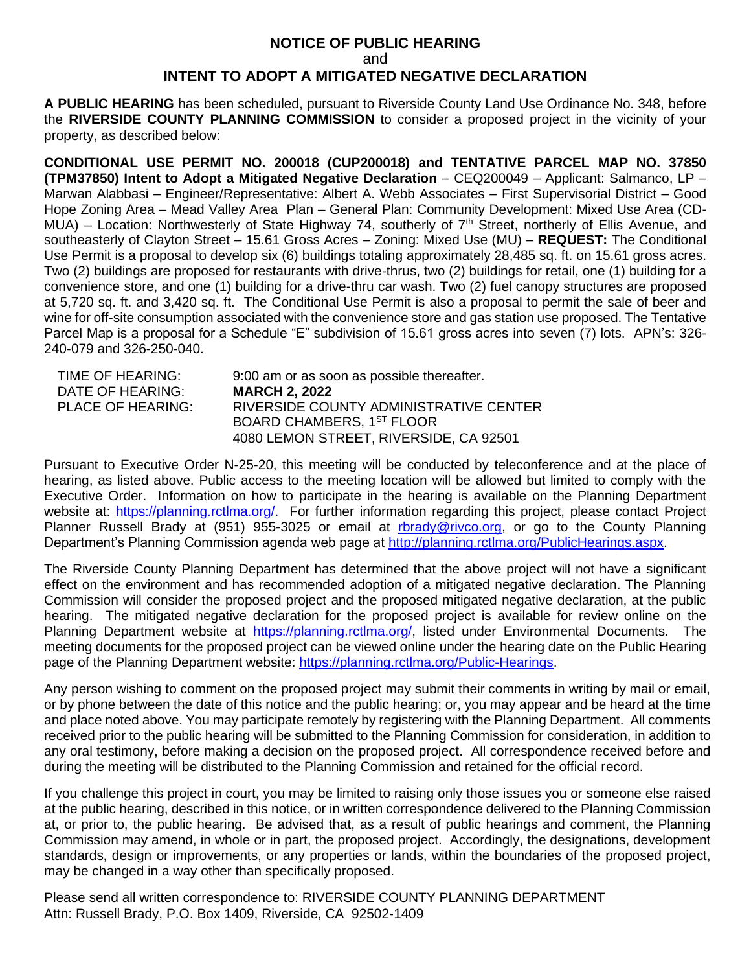## **NOTICE OF PUBLIC HEARING** and **INTENT TO ADOPT A MITIGATED NEGATIVE DECLARATION**

**A PUBLIC HEARING** has been scheduled, pursuant to Riverside County Land Use Ordinance No. 348, before the **RIVERSIDE COUNTY PLANNING COMMISSION** to consider a proposed project in the vicinity of your property, as described below:

**CONDITIONAL USE PERMIT NO. 200018 (CUP200018) and TENTATIVE PARCEL MAP NO. 37850 (TPM37850) Intent to Adopt a Mitigated Negative Declaration** – CEQ200049 – Applicant: Salmanco, LP – Marwan Alabbasi – Engineer/Representative: Albert A. Webb Associates – First Supervisorial District – Good Hope Zoning Area – Mead Valley Area Plan – General Plan: Community Development: Mixed Use Area (CD-MUA) – Location: Northwesterly of State Highway 74, southerly of 7<sup>th</sup> Street, northerly of Ellis Avenue, and southeasterly of Clayton Street – 15.61 Gross Acres – Zoning: Mixed Use (MU) – **REQUEST:** The Conditional Use Permit is a proposal to develop six (6) buildings totaling approximately 28,485 sq. ft. on 15.61 gross acres. Two (2) buildings are proposed for restaurants with drive-thrus, two (2) buildings for retail, one (1) building for a convenience store, and one (1) building for a drive-thru car wash. Two (2) fuel canopy structures are proposed at 5,720 sq. ft. and 3,420 sq. ft. The Conditional Use Permit is also a proposal to permit the sale of beer and wine for off-site consumption associated with the convenience store and gas station use proposed. The Tentative Parcel Map is a proposal for a Schedule "E" subdivision of 15.61 gross acres into seven (7) lots. APN's: 326- 240-079 and 326-250-040.

| TIME OF HEARING:         | 9:00 am or as soon as possible thereafter. |
|--------------------------|--------------------------------------------|
| DATE OF HEARING:         | <b>MARCH 2, 2022</b>                       |
| <b>PLACE OF HEARING:</b> | RIVERSIDE COUNTY ADMINISTRATIVE CENTER     |
|                          | BOARD CHAMBERS, 1ST FLOOR                  |
|                          | 4080 LEMON STREET, RIVERSIDE, CA 92501     |

Pursuant to Executive Order N-25-20, this meeting will be conducted by teleconference and at the place of hearing, as listed above. Public access to the meeting location will be allowed but limited to comply with the Executive Order. Information on how to participate in the hearing is available on the Planning Department website at: [https://planning.rctlma.org/.](https://planning.rctlma.org/) For further information regarding this project, please contact Project Planner Russell Brady at (951) 955-3025 or email at [rbrady@rivco.org,](mailto:rbrady@rivco.org) or go to the County Planning Department's Planning Commission agenda web page at [http://planning.rctlma.org/PublicHearings.aspx.](http://planning.rctlma.org/PublicHearings.aspx)

The Riverside County Planning Department has determined that the above project will not have a significant effect on the environment and has recommended adoption of a mitigated negative declaration. The Planning Commission will consider the proposed project and the proposed mitigated negative declaration, at the public hearing. The mitigated negative declaration for the proposed project is available for review online on the Planning Department website at [https://planning.rctlma.org/,](https://planning.rctlma.org/) listed under Environmental Documents. The meeting documents for the proposed project can be viewed online under the hearing date on the Public Hearing page of the Planning Department website: [https://planning.rctlma.org/Public-Hearings.](https://planning.rctlma.org/Public-Hearings)

Any person wishing to comment on the proposed project may submit their comments in writing by mail or email, or by phone between the date of this notice and the public hearing; or, you may appear and be heard at the time and place noted above. You may participate remotely by registering with the Planning Department. All comments received prior to the public hearing will be submitted to the Planning Commission for consideration, in addition to any oral testimony, before making a decision on the proposed project. All correspondence received before and during the meeting will be distributed to the Planning Commission and retained for the official record.

If you challenge this project in court, you may be limited to raising only those issues you or someone else raised at the public hearing, described in this notice, or in written correspondence delivered to the Planning Commission at, or prior to, the public hearing. Be advised that, as a result of public hearings and comment, the Planning Commission may amend, in whole or in part, the proposed project. Accordingly, the designations, development standards, design or improvements, or any properties or lands, within the boundaries of the proposed project, may be changed in a way other than specifically proposed.

Please send all written correspondence to: RIVERSIDE COUNTY PLANNING DEPARTMENT Attn: Russell Brady, P.O. Box 1409, Riverside, CA 92502-1409